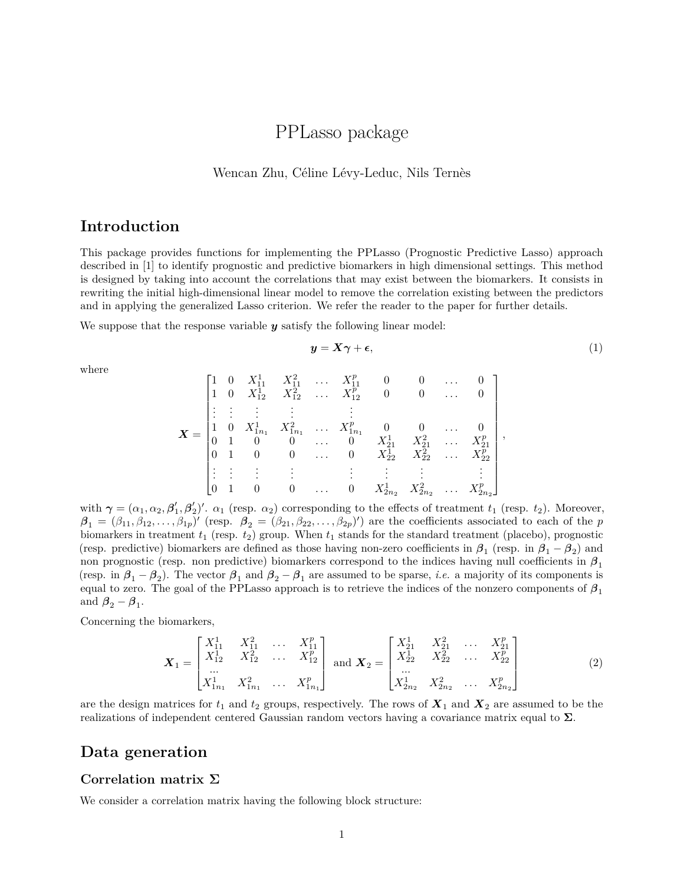# PPLasso package

#### Wencan Zhu, Céline Lévy-Leduc, Nils Ternès

## **Introduction**

This package provides functions for implementing the PPLasso (Prognostic Predictive Lasso) approach described in [1] to identify prognostic and predictive biomarkers in high dimensional settings. This method is designed by taking into account the correlations that may exist between the biomarkers. It consists in rewriting the initial high-dimensional linear model to remove the correlation existing between the predictors and in applying the generalized Lasso criterion. We refer the reader to the paper for further details.

We suppose that the response variable *y* satisfy the following linear model:

<span id="page-0-0"></span>
$$
y = X\gamma + \epsilon,\tag{1}
$$

where

$$
\boldsymbol{X} = \begin{bmatrix} 1 & 0 & X_{11}^1 & X_{11}^2 & \ldots & X_{11}^p & 0 & 0 & \ldots & 0 \\ 1 & 0 & X_{12}^1 & X_{12}^2 & \ldots & X_{12}^p & 0 & 0 & \ldots & 0 \\ \vdots & \vdots & \vdots & \vdots & & \vdots & & \vdots & & \vdots \\ 1 & 0 & X_{1n_1}^1 & X_{1n_1}^2 & \ldots & X_{1n_1}^p & 0 & 0 & \ldots & 0 \\ 0 & 1 & 0 & 0 & \ldots & 0 & X_{21}^1 & X_{21}^2 & \ldots & X_{21}^p \\ 0 & 1 & 0 & 0 & \ldots & 0 & X_{12}^1 & X_{22}^2 & \ldots & X_{22}^p \\ \vdots & \vdots & \vdots & \vdots & \vdots & \vdots & \vdots & \vdots & \vdots \\ 0 & 1 & 0 & 0 & \ldots & 0 & X_{2n_2}^1 & X_{2n_2}^2 & \ldots & X_{2n_2}^p \end{bmatrix},
$$

with  $\gamma = (\alpha_1, \alpha_2, \beta_1', \beta_2')'.\ \alpha_1$  (resp.  $\alpha_2$ ) corresponding to the effects of treatment  $t_1$  (resp.  $t_2$ ). Moreover,  $\beta_1 = (\beta_{11}, \beta_{12}, \dots, \beta_{1p})'$  (resp.  $\beta_2 = (\beta_{21}, \beta_{22}, \dots, \beta_{2p})'$ ) are the coefficients associated to each of the *p* biomarkers in treatment *t*<sup>1</sup> (resp. *t*2) group. When *t*<sup>1</sup> stands for the standard treatment (placebo), prognostic (resp. predictive) biomarkers are defined as those having non-zero coefficients in  $\beta_1$  (resp. in  $\beta_1 - \beta_2$ ) and non prognostic (resp. non predictive) biomarkers correspond to the indices having null coefficients in  $\beta_1$ (resp. in  $\beta_1 - \beta_2$ ). The vector  $\beta_1$  and  $\beta_2 - \beta_1$  are assumed to be sparse, *i.e.* a majority of its components is equal to zero. The goal of the PPLasso approach is to retrieve the indices of the nonzero components of *β*<sup>1</sup> and  $\beta_2 - \beta_1$ .

Concerning the biomarkers,

$$
\boldsymbol{X}_{1} = \begin{bmatrix} X_{11}^{1} & X_{11}^{2} & \cdots & X_{11}^{p} \\ X_{12}^{1} & X_{12}^{2} & \cdots & X_{12}^{p} \\ \cdots & & & & \\ X_{1n_{1}}^{1} & X_{1n_{1}}^{2} & \cdots & X_{1n_{1}}^{p} \end{bmatrix} \text{ and } \boldsymbol{X}_{2} = \begin{bmatrix} X_{21}^{1} & X_{21}^{2} & \cdots & X_{21}^{p} \\ X_{22}^{1} & X_{22}^{2} & \cdots & X_{22}^{p} \\ \cdots & & & & \\ X_{2n_{2}}^{1} & X_{2n_{2}}^{2} & \cdots & X_{2n_{2}}^{p} \end{bmatrix}
$$
(2)

are the design matrices for  $t_1$  and  $t_2$  groups, respectively. The rows of  $\mathbf{X}_1$  and  $\mathbf{X}_2$  are assumed to be the realizations of independent centered Gaussian random vectors having a covariance matrix equal to **Σ**.

### **Data generation**

#### **Correlation matrix Σ**

We consider a correlation matrix having the following block structure: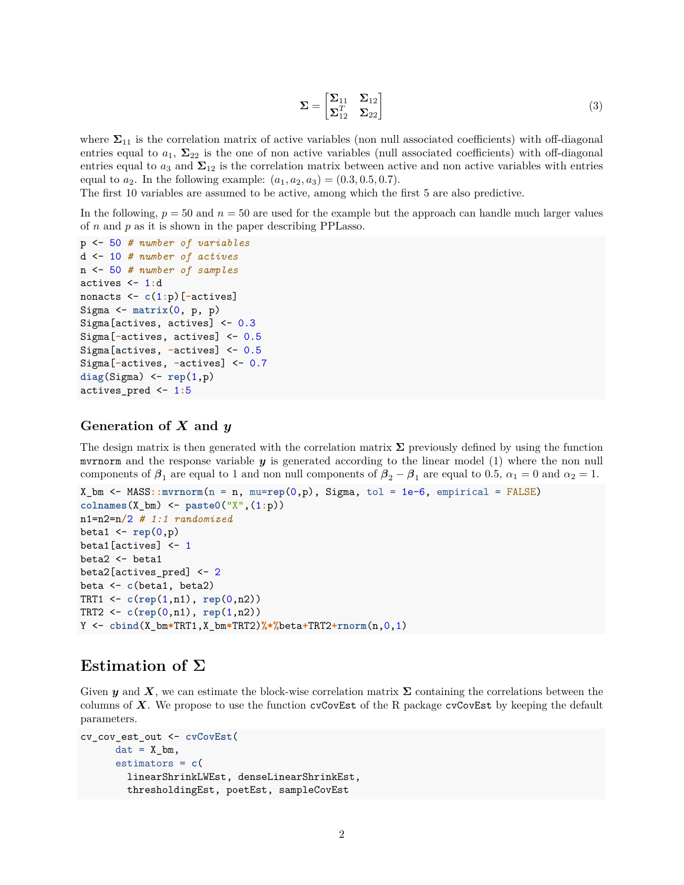$$
\Sigma = \begin{bmatrix} \Sigma_{11} & \Sigma_{12} \\ \Sigma_{12}^T & \Sigma_{22} \end{bmatrix} \tag{3}
$$

where  $\Sigma_{11}$  is the correlation matrix of active variables (non null associated coefficients) with off-diagonal entries equal to  $a_1$ ,  $\Sigma_{22}$  is the one of non active variables (null associated coefficients) with off-diagonal entries equal to  $a_3$  and  $\Sigma_{12}$  is the correlation matrix between active and non active variables with entries equal to  $a_2$ . In the following example:  $(a_1, a_2, a_3) = (0.3, 0.5, 0.7)$ .

The first 10 variables are assumed to be active, among which the first 5 are also predictive.

In the following,  $p = 50$  and  $n = 50$  are used for the example but the approach can handle much larger values of *n* and *p* as it is shown in the paper describing PPLasso.

```
p <- 50 # number of variables
d <- 10 # number of actives
n <- 50 # number of samples
actives <- 1:d
nonacts <- c(1:p)[-actives]
Sigma \leq matrix(0, p, p)Sigma[actives, actives] <- 0.3
Sigma[-actives, actives] <- 0.5
Sigma[actives, -actives] <- 0.5
Sigma[-actives, -actives] <- 0.7
diag(Sigma) <- rep(1,p)
actives_pred <- 1:5
```
### **Generation of** *X* **and** *y*

The design matrix is then generated with the correlation matrix **Σ** previously defined by using the function mvrnorm and the response variable *y* is generated according to the linear model [\(1\)](#page-0-0) where the non null components of  $\beta_1$  are equal to 1 and non null components of  $\beta_2 - \beta_1$  are equal to 0.5,  $\alpha_1 = 0$  and  $\alpha_2 = 1$ .

```
X_bm <- MASS::mvrnorm(n = n, mu=rep(0,p), Sigma, tol = 1e-6, empirical = FALSE)
colnames(X_bm) <- paste0("X",(1:p))
n1=n2=n/2 # 1:1 randomized
beta1 <- rep(0,p)
beta1[actives] <- 1
beta2 <- beta1
beta2[actives_pred] <- 2
beta <- c(beta1, beta2)
TRT1 <- c(rep(1,n1), rep(0,n2))
TRT2 <- c(rep(0,n1), rep(1,n2))
Y <- cbind(X_bm*TRT1,X_bm*TRT2)%*%beta+TRT2+rnorm(n,0,1)
```
### **Estimation of Σ**

Given *y* and *X*, we can estimate the block-wise correlation matrix  $\Sigma$  containing the correlations between the columns of X. We propose to use the function cvCovEst of the R package cvCovEst by keeping the default parameters.

```
cv_cov_est_out <- cvCovEst(
     dat = X_bm,estimators = c(
        linearShrinkLWEst, denseLinearShrinkEst,
        thresholdingEst, poetEst, sampleCovEst
```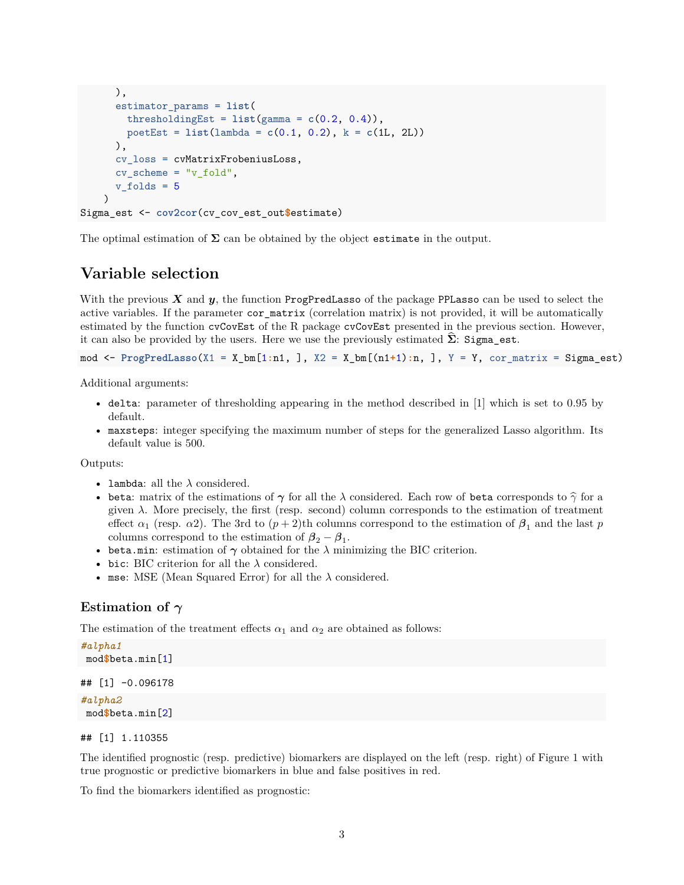```
),
      estimator_params = list(
        thresholdingEst = list(gamma = c(0.2, 0.4)),poetEst = list(lambda = c(0.1, 0.2), k = c(1L, 2L))
     ),
      cv_loss = cvMatrixFrobeniusLoss,
      cv\_scheme = "v_fold",v folds = 5)
Sigma_est <- cov2cor(cv_cov_est_out$estimate)
```
The optimal estimation of  $\Sigma$  can be obtained by the object estimate in the output.

### **Variable selection**

With the previous  $X$  and  $y$ , the function ProgPredLasso of the package PPLasso can be used to select the active variables. If the parameter cor\_matrix (correlation matrix) is not provided, it will be automatically estimated by the function cvCovEst of the R package cvCovEst presented in the previous section. However, it can also be provided by the users. Here we use the previously estimated  $\Sigma$ : Sigma\_est.

mod <- **ProgPredLasso**(X1 = X\_bm[1**:**n1, ], X2 = X\_bm[(n1**+**1)**:**n, ], Y = Y, cor\_matrix = Sigma\_est)

Additional arguments:

- delta: parameter of thresholding appearing in the method described in [1] which is set to 0.95 by default.
- maxsteps: integer specifying the maximum number of steps for the generalized Lasso algorithm. Its default value is 500.

Outputs:

- lambda: all the  $\lambda$  considered.
- beta: matrix of the estimations of  $\gamma$  for all the  $\lambda$  considered. Each row of beta corresponds to  $\hat{\gamma}$  for a given *λ*. More precisely, the first (resp. second) column corresponds to the estimation of treatment effect  $\alpha_1$  (resp.  $\alpha_2$ ). The 3rd to  $(p+2)$ th columns correspond to the estimation of  $\beta_1$  and the last *p* columns correspond to the estimation of  $\beta_2 - \beta_1$ .
- beta.min: estimation of  $\gamma$  obtained for the  $\lambda$  minimizing the BIC criterion.
- bic: BIC criterion for all the  $\lambda$  considered.
- mse: MSE (Mean Squared Error) for all the *λ* considered.

### **Estimation of** *γ*

The estimation of the treatment effects  $\alpha_1$  and  $\alpha_2$  are obtained as follows:

```
#alpha1
mod$beta.min[1]
## [1] -0.096178
#alpha2
mod$beta.min[2]
```
#### ## [1] 1.110355

The identified prognostic (resp. predictive) biomarkers are displayed on the left (resp. right) of Figure [1](#page-3-0) with true prognostic or predictive biomarkers in blue and false positives in red.

To find the biomarkers identified as prognostic: